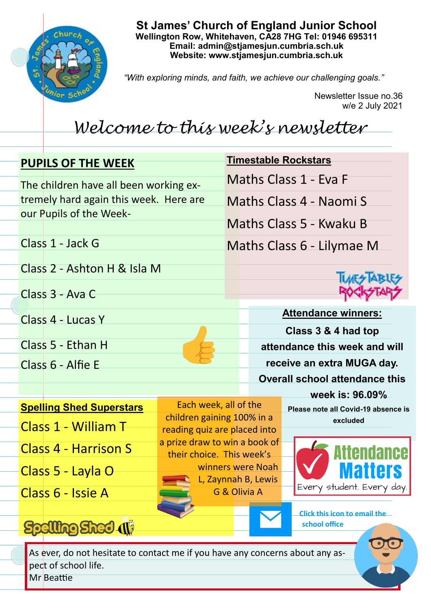

**St James' Church of England Junior School Wellington Row, Whitehaven, CA28 7HG Tel: 01946 695311 Email: admin@stjamesjun.cumbria.sch.uk Website: www.stjamesjun.cumbria.sch.uk**

*"With exploring minds, and faith, we achieve our challenging goals."*

Newsletter Issue no.36 w/e 2 July 2021

## *Welcome to this week's newsletter*

| <b>PUPILS OF THE WEEK</b> |                                        |                                                                                                       |                                                     | <b>Timestable Rockstars</b> |                           |                                                 |  |
|---------------------------|----------------------------------------|-------------------------------------------------------------------------------------------------------|-----------------------------------------------------|-----------------------------|---------------------------|-------------------------------------------------|--|
|                           | The children have all been working ex- |                                                                                                       |                                                     | Maths Class 1 - Eva F       |                           |                                                 |  |
|                           | tremely hard again this week. Here are |                                                                                                       |                                                     | Maths Class 4 - Naomi S     |                           |                                                 |  |
|                           |                                        | our Pupils of the Week-                                                                               |                                                     |                             |                           | Maths Class 5 - Kwaku B                         |  |
|                           |                                        |                                                                                                       |                                                     |                             |                           |                                                 |  |
|                           |                                        | Class 1 - Jack G                                                                                      |                                                     |                             | Maths Class 6 - Lilymae M |                                                 |  |
|                           | Class 2 - Ashton H & Isla M            |                                                                                                       |                                                     |                             |                           |                                                 |  |
|                           |                                        | Class 3 - Ava C                                                                                       |                                                     |                             |                           |                                                 |  |
|                           |                                        |                                                                                                       |                                                     |                             |                           | <b>Attendance winners:</b>                      |  |
|                           |                                        | Class 4 - Lucas Y                                                                                     |                                                     |                             |                           | Class 3 & 4 had top                             |  |
|                           |                                        | Class 5 - Ethan H                                                                                     |                                                     |                             |                           | attendance this week and will                   |  |
|                           |                                        | Class 6 - Alfie E                                                                                     |                                                     |                             |                           | receive an extra MUGA day.                      |  |
|                           |                                        |                                                                                                       |                                                     |                             |                           | <b>Overall school attendance this</b>           |  |
|                           |                                        |                                                                                                       |                                                     |                             |                           | week is: 96.09%                                 |  |
|                           |                                        | <b>Spelling Shed Superstars</b>                                                                       | Each week, all of the<br>children gaining 100% in a |                             |                           | Please note all Covid-19 absence is<br>excluded |  |
|                           |                                        | <b>Class 1 - William T</b>                                                                            |                                                     |                             |                           |                                                 |  |
|                           |                                        |                                                                                                       | reading quiz are placed into                        |                             |                           |                                                 |  |
|                           |                                        | <b>Class 4 - Harrison S</b>                                                                           | a prize draw to win a book of                       |                             |                           |                                                 |  |
|                           |                                        |                                                                                                       | their choice. This week's                           |                             | winners were Noah         |                                                 |  |
|                           |                                        | Class 5 - Layla O                                                                                     |                                                     |                             | L, Zaynnah B, Lewis       | Every student. Every day.                       |  |
|                           |                                        | Class 6 - Issie A                                                                                     |                                                     |                             | G & Olivia A              |                                                 |  |
|                           |                                        | <b>Spelling Sheel (1)</b>                                                                             |                                                     |                             |                           | Click this icon to email the<br>school office   |  |
|                           |                                        |                                                                                                       |                                                     |                             |                           |                                                 |  |
|                           |                                        | As ever, do not hesitate to contact me if you have any concerns about any as-<br>pect of school life. |                                                     |                             |                           |                                                 |  |